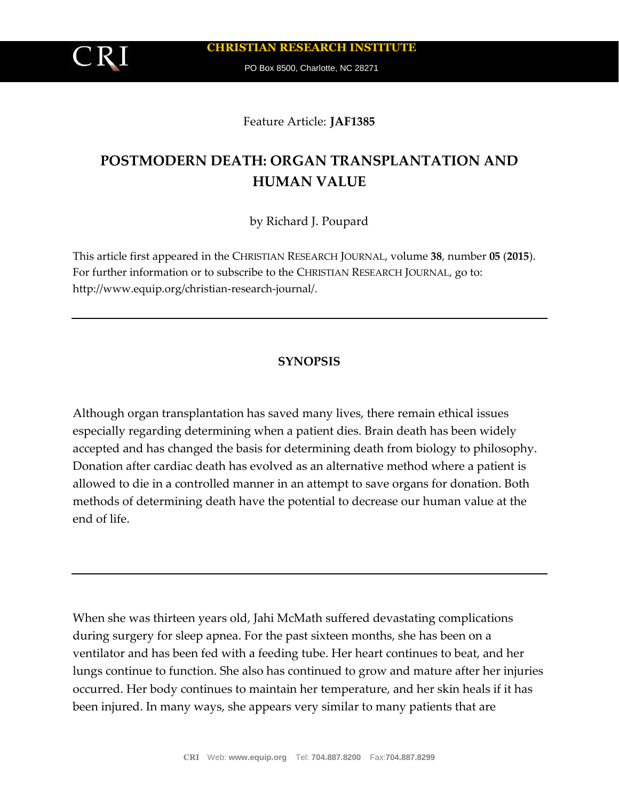**CHRISTIAN RESEARCH INSTITUTE**

PO Box 8500, Charlotte, NC 28271

## Feature Article: **JAF1385**

# **POSTMODERN DEATH: ORGAN TRANSPLANTATION AND HUMAN VALUE**

by Richard J. Poupard

This article first appeared in the CHRISTIAN RESEARCH JOURNAL, volume **38**, number **05** (**2015**). For further information or to subscribe to the CHRISTIAN RESEARCH JOURNAL, go to: http://www.equip.org/christian-research-journal/.

# **SYNOPSIS**

Although organ transplantation has saved many lives, there remain ethical issues especially regarding determining when a patient dies. Brain death has been widely accepted and has changed the basis for determining death from biology to philosophy. Donation after cardiac death has evolved as an alternative method where a patient is allowed to die in a controlled manner in an attempt to save organs for donation. Both methods of determining death have the potential to decrease our human value at the end of life.

When she was thirteen years old, Jahi McMath suffered devastating complications during surgery for sleep apnea. For the past sixteen months, she has been on a ventilator and has been fed with a feeding tube. Her heart continues to beat, and her lungs continue to function. She also has continued to grow and mature after her injuries occurred. Her body continues to maintain her temperature, and her skin heals if it has been injured. In many ways, she appears very similar to many patients that are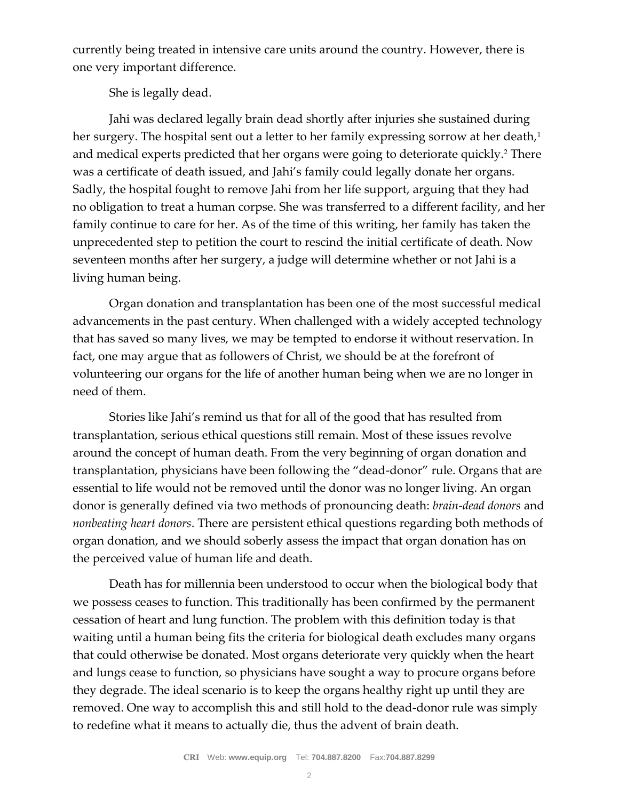currently being treated in intensive care units around the country. However, there is one very important difference.

# She is legally dead.

Jahi was declared legally brain dead shortly after injuries she sustained during her surgery. The hospital sent out a letter to her family expressing sorrow at her death,<sup>1</sup> and medical experts predicted that her organs were going to deteriorate quickly.<sup>2</sup> There was a certificate of death issued, and Jahi's family could legally donate her organs. Sadly, the hospital fought to remove Jahi from her life support, arguing that they had no obligation to treat a human corpse. She was transferred to a different facility, and her family continue to care for her. As of the time of this writing, her family has taken the unprecedented step to petition the court to rescind the initial certificate of death. Now seventeen months after her surgery, a judge will determine whether or not Jahi is a living human being.

Organ donation and transplantation has been one of the most successful medical advancements in the past century. When challenged with a widely accepted technology that has saved so many lives, we may be tempted to endorse it without reservation. In fact, one may argue that as followers of Christ, we should be at the forefront of volunteering our organs for the life of another human being when we are no longer in need of them.

Stories like Jahi's remind us that for all of the good that has resulted from transplantation, serious ethical questions still remain. Most of these issues revolve around the concept of human death. From the very beginning of organ donation and transplantation, physicians have been following the "dead-donor" rule. Organs that are essential to life would not be removed until the donor was no longer living. An organ donor is generally defined via two methods of pronouncing death: *brain-dead donors* and *nonbeating heart donors*. There are persistent ethical questions regarding both methods of organ donation, and we should soberly assess the impact that organ donation has on the perceived value of human life and death.

Death has for millennia been understood to occur when the biological body that we possess ceases to function. This traditionally has been confirmed by the permanent cessation of heart and lung function. The problem with this definition today is that waiting until a human being fits the criteria for biological death excludes many organs that could otherwise be donated. Most organs deteriorate very quickly when the heart and lungs cease to function, so physicians have sought a way to procure organs before they degrade. The ideal scenario is to keep the organs healthy right up until they are removed. One way to accomplish this and still hold to the dead-donor rule was simply to redefine what it means to actually die, thus the advent of brain death.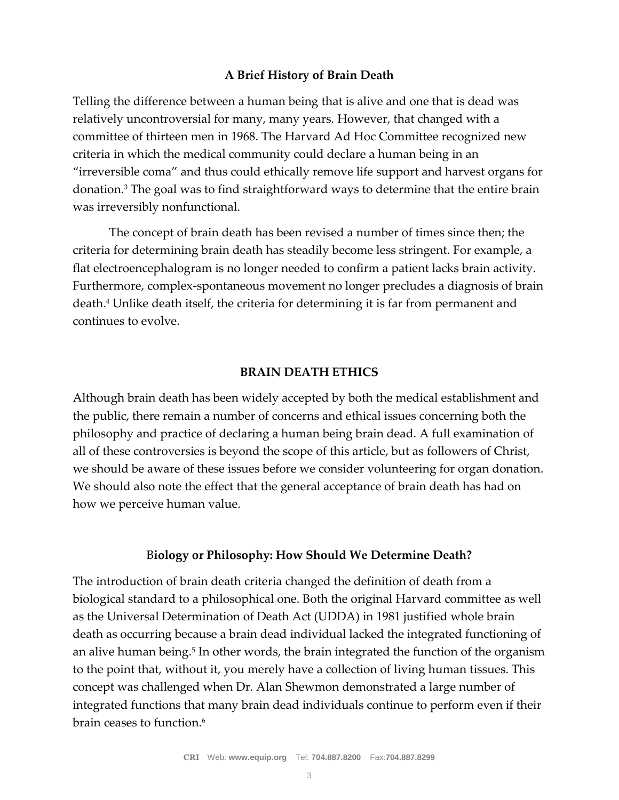## **A Brief History of Brain Death**

Telling the difference between a human being that is alive and one that is dead was relatively uncontroversial for many, many years. However, that changed with a committee of thirteen men in 1968. The Harvard Ad Hoc Committee recognized new criteria in which the medical community could declare a human being in an "irreversible coma" and thus could ethically remove life support and harvest organs for donation.<sup>3</sup> The goal was to find straightforward ways to determine that the entire brain was irreversibly nonfunctional.

The concept of brain death has been revised a number of times since then; the criteria for determining brain death has steadily become less stringent. For example, a flat electroencephalogram is no longer needed to confirm a patient lacks brain activity. Furthermore, complex-spontaneous movement no longer precludes a diagnosis of brain death.<sup>4</sup> Unlike death itself, the criteria for determining it is far from permanent and continues to evolve.

## **BRAIN DEATH ETHICS**

Although brain death has been widely accepted by both the medical establishment and the public, there remain a number of concerns and ethical issues concerning both the philosophy and practice of declaring a human being brain dead. A full examination of all of these controversies is beyond the scope of this article, but as followers of Christ, we should be aware of these issues before we consider volunteering for organ donation. We should also note the effect that the general acceptance of brain death has had on how we perceive human value.

#### B**iology or Philosophy: How Should We Determine Death?**

The introduction of brain death criteria changed the definition of death from a biological standard to a philosophical one. Both the original Harvard committee as well as the Universal Determination of Death Act (UDDA) in 1981 justified whole brain death as occurring because a brain dead individual lacked the integrated functioning of an alive human being.<sup>5</sup> In other words, the brain integrated the function of the organism to the point that, without it, you merely have a collection of living human tissues. This concept was challenged when Dr. Alan Shewmon demonstrated a large number of integrated functions that many brain dead individuals continue to perform even if their brain ceases to function.<sup>6</sup>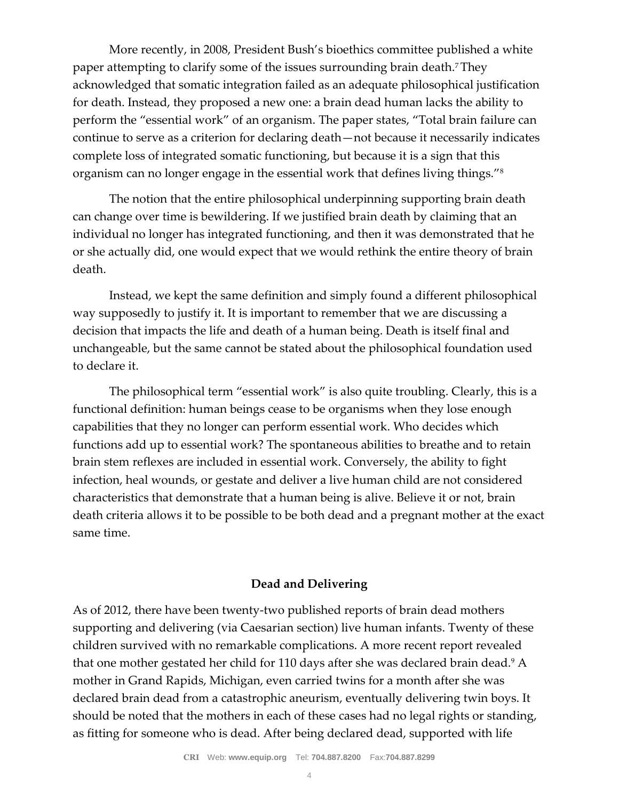More recently, in 2008, President Bush's bioethics committee published a white paper attempting to clarify some of the issues surrounding brain death.7 They acknowledged that somatic integration failed as an adequate philosophical justification for death. Instead, they proposed a new one: a brain dead human lacks the ability to perform the "essential work" of an organism. The paper states, "Total brain failure can continue to serve as a criterion for declaring death—not because it necessarily indicates complete loss of integrated somatic functioning, but because it is a sign that this organism can no longer engage in the essential work that defines living things."<sup>8</sup>

The notion that the entire philosophical underpinning supporting brain death can change over time is bewildering. If we justified brain death by claiming that an individual no longer has integrated functioning, and then it was demonstrated that he or she actually did, one would expect that we would rethink the entire theory of brain death.

Instead, we kept the same definition and simply found a different philosophical way supposedly to justify it. It is important to remember that we are discussing a decision that impacts the life and death of a human being. Death is itself final and unchangeable, but the same cannot be stated about the philosophical foundation used to declare it.

The philosophical term "essential work" is also quite troubling. Clearly, this is a functional definition: human beings cease to be organisms when they lose enough capabilities that they no longer can perform essential work. Who decides which functions add up to essential work? The spontaneous abilities to breathe and to retain brain stem reflexes are included in essential work. Conversely, the ability to fight infection, heal wounds, or gestate and deliver a live human child are not considered characteristics that demonstrate that a human being is alive. Believe it or not, brain death criteria allows it to be possible to be both dead and a pregnant mother at the exact same time.

# **Dead and Delivering**

As of 2012, there have been twenty-two published reports of brain dead mothers supporting and delivering (via Caesarian section) live human infants. Twenty of these children survived with no remarkable complications. A more recent report revealed that one mother gestated her child for 110 days after she was declared brain dead.<sup>9</sup> A mother in Grand Rapids, Michigan, even carried twins for a month after she was declared brain dead from a catastrophic aneurism, eventually delivering twin boys. It should be noted that the mothers in each of these cases had no legal rights or standing, as fitting for someone who is dead. After being declared dead, supported with life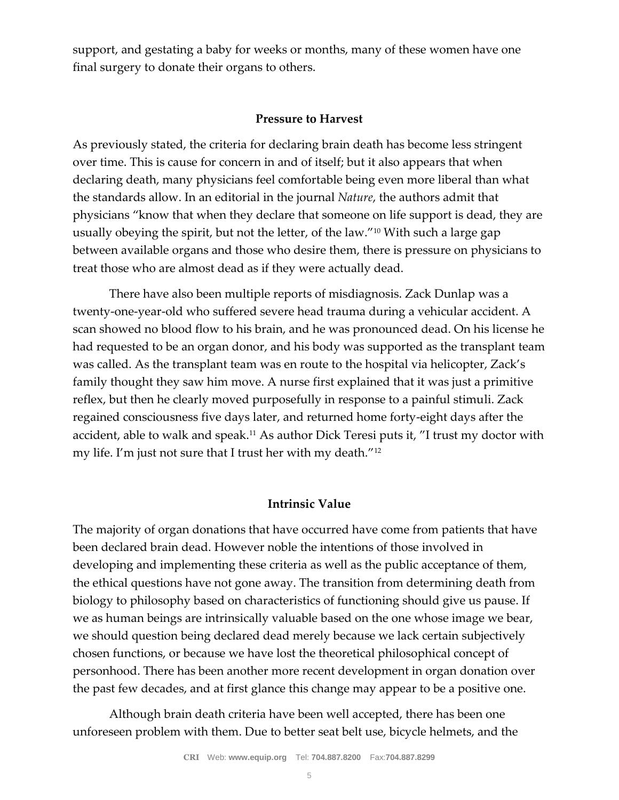support, and gestating a baby for weeks or months, many of these women have one final surgery to donate their organs to others.

#### **Pressure to Harvest**

As previously stated, the criteria for declaring brain death has become less stringent over time. This is cause for concern in and of itself; but it also appears that when declaring death, many physicians feel comfortable being even more liberal than what the standards allow. In an editorial in the journal *Nature*, the authors admit that physicians "know that when they declare that someone on life support is dead, they are usually obeying the spirit, but not the letter, of the law."<sup>10</sup> With such a large gap between available organs and those who desire them, there is pressure on physicians to treat those who are almost dead as if they were actually dead.

There have also been multiple reports of misdiagnosis. Zack Dunlap was a twenty-one-year-old who suffered severe head trauma during a vehicular accident. A scan showed no blood flow to his brain, and he was pronounced dead. On his license he had requested to be an organ donor, and his body was supported as the transplant team was called. As the transplant team was en route to the hospital via helicopter, Zack's family thought they saw him move. A nurse first explained that it was just a primitive reflex, but then he clearly moved purposefully in response to a painful stimuli. Zack regained consciousness five days later, and returned home forty-eight days after the accident, able to walk and speak.<sup>11</sup> As author Dick Teresi puts it, "I trust my doctor with my life. I'm just not sure that I trust her with my death."<sup>12</sup>

#### **Intrinsic Value**

The majority of organ donations that have occurred have come from patients that have been declared brain dead. However noble the intentions of those involved in developing and implementing these criteria as well as the public acceptance of them, the ethical questions have not gone away. The transition from determining death from biology to philosophy based on characteristics of functioning should give us pause. If we as human beings are intrinsically valuable based on the one whose image we bear, we should question being declared dead merely because we lack certain subjectively chosen functions, or because we have lost the theoretical philosophical concept of personhood. There has been another more recent development in organ donation over the past few decades, and at first glance this change may appear to be a positive one.

Although brain death criteria have been well accepted, there has been one unforeseen problem with them. Due to better seat belt use, bicycle helmets, and the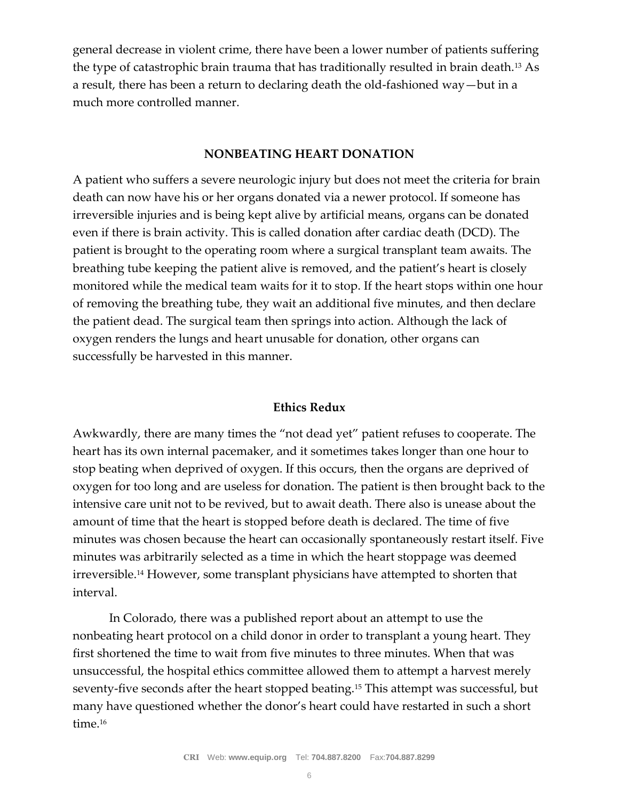general decrease in violent crime, there have been a lower number of patients suffering the type of catastrophic brain trauma that has traditionally resulted in brain death.<sup>13</sup> As a result, there has been a return to declaring death the old-fashioned way—but in a much more controlled manner.

#### **NONBEATING HEART DONATION**

A patient who suffers a severe neurologic injury but does not meet the criteria for brain death can now have his or her organs donated via a newer protocol. If someone has irreversible injuries and is being kept alive by artificial means, organs can be donated even if there is brain activity. This is called donation after cardiac death (DCD). The patient is brought to the operating room where a surgical transplant team awaits. The breathing tube keeping the patient alive is removed, and the patient's heart is closely monitored while the medical team waits for it to stop. If the heart stops within one hour of removing the breathing tube, they wait an additional five minutes, and then declare the patient dead. The surgical team then springs into action. Although the lack of oxygen renders the lungs and heart unusable for donation, other organs can successfully be harvested in this manner.

## **Ethics Redux**

Awkwardly, there are many times the "not dead yet" patient refuses to cooperate. The heart has its own internal pacemaker, and it sometimes takes longer than one hour to stop beating when deprived of oxygen. If this occurs, then the organs are deprived of oxygen for too long and are useless for donation. The patient is then brought back to the intensive care unit not to be revived, but to await death. There also is unease about the amount of time that the heart is stopped before death is declared. The time of five minutes was chosen because the heart can occasionally spontaneously restart itself. Five minutes was arbitrarily selected as a time in which the heart stoppage was deemed irreversible.<sup>14</sup> However, some transplant physicians have attempted to shorten that interval.

In Colorado, there was a published report about an attempt to use the nonbeating heart protocol on a child donor in order to transplant a young heart. They first shortened the time to wait from five minutes to three minutes. When that was unsuccessful, the hospital ethics committee allowed them to attempt a harvest merely seventy-five seconds after the heart stopped beating.<sup>15</sup> This attempt was successful, but many have questioned whether the donor's heart could have restarted in such a short time.<sup>16</sup>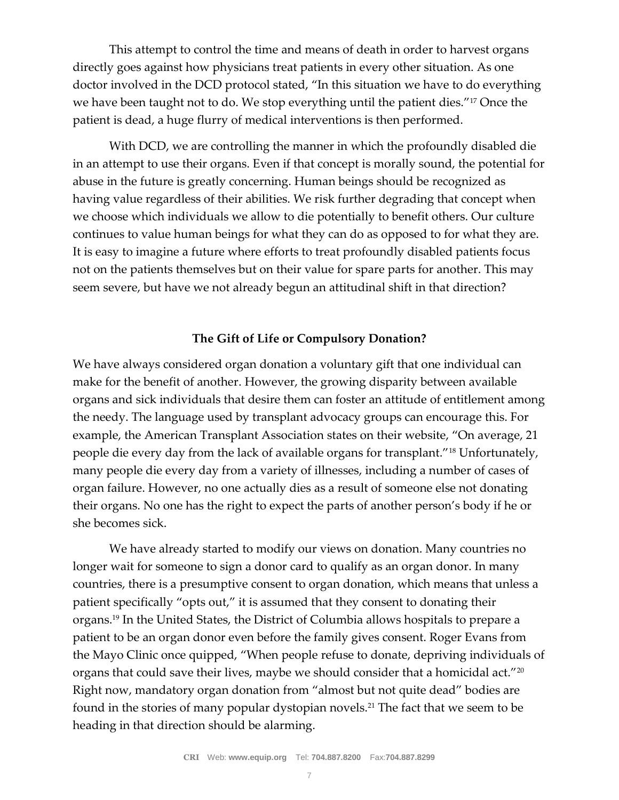This attempt to control the time and means of death in order to harvest organs directly goes against how physicians treat patients in every other situation. As one doctor involved in the DCD protocol stated, "In this situation we have to do everything we have been taught not to do. We stop everything until the patient dies."<sup>17</sup> Once the patient is dead, a huge flurry of medical interventions is then performed.

With DCD, we are controlling the manner in which the profoundly disabled die in an attempt to use their organs. Even if that concept is morally sound, the potential for abuse in the future is greatly concerning. Human beings should be recognized as having value regardless of their abilities. We risk further degrading that concept when we choose which individuals we allow to die potentially to benefit others. Our culture continues to value human beings for what they can do as opposed to for what they are. It is easy to imagine a future where efforts to treat profoundly disabled patients focus not on the patients themselves but on their value for spare parts for another. This may seem severe, but have we not already begun an attitudinal shift in that direction?

## **The Gift of Life or Compulsory Donation?**

We have always considered organ donation a voluntary gift that one individual can make for the benefit of another. However, the growing disparity between available organs and sick individuals that desire them can foster an attitude of entitlement among the needy. The language used by transplant advocacy groups can encourage this. For example, the American Transplant Association states on their website, "On average, 21 people die every day from the lack of available organs for transplant."<sup>18</sup> Unfortunately, many people die every day from a variety of illnesses, including a number of cases of organ failure. However, no one actually dies as a result of someone else not donating their organs. No one has the right to expect the parts of another person's body if he or she becomes sick.

We have already started to modify our views on donation. Many countries no longer wait for someone to sign a donor card to qualify as an organ donor. In many countries, there is a presumptive consent to organ donation, which means that unless a patient specifically "opts out," it is assumed that they consent to donating their organs.<sup>19</sup> In the United States, the District of Columbia allows hospitals to prepare a patient to be an organ donor even before the family gives consent. Roger Evans from the Mayo Clinic once quipped, "When people refuse to donate, depriving individuals of organs that could save their lives, maybe we should consider that a homicidal act."<sup>20</sup> Right now, mandatory organ donation from "almost but not quite dead" bodies are found in the stories of many popular dystopian novels.<sup>21</sup> The fact that we seem to be heading in that direction should be alarming.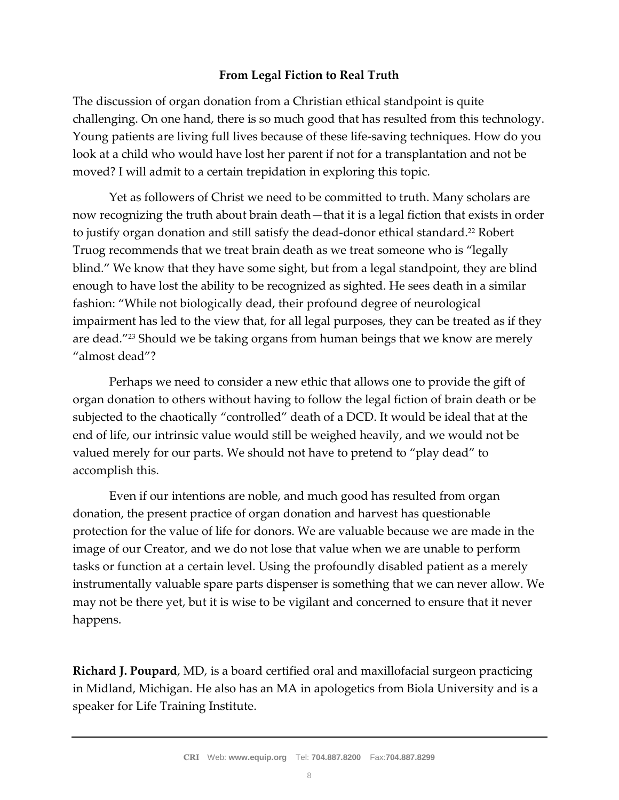## **From Legal Fiction to Real Truth**

The discussion of organ donation from a Christian ethical standpoint is quite challenging. On one hand, there is so much good that has resulted from this technology. Young patients are living full lives because of these life-saving techniques. How do you look at a child who would have lost her parent if not for a transplantation and not be moved? I will admit to a certain trepidation in exploring this topic.

Yet as followers of Christ we need to be committed to truth. Many scholars are now recognizing the truth about brain death—that it is a legal fiction that exists in order to justify organ donation and still satisfy the dead-donor ethical standard.<sup>22</sup> Robert Truog recommends that we treat brain death as we treat someone who is "legally blind." We know that they have some sight, but from a legal standpoint, they are blind enough to have lost the ability to be recognized as sighted. He sees death in a similar fashion: "While not biologically dead, their profound degree of neurological impairment has led to the view that, for all legal purposes, they can be treated as if they are dead."<sup>23</sup> Should we be taking organs from human beings that we know are merely "almost dead"?

Perhaps we need to consider a new ethic that allows one to provide the gift of organ donation to others without having to follow the legal fiction of brain death or be subjected to the chaotically "controlled" death of a DCD. It would be ideal that at the end of life, our intrinsic value would still be weighed heavily, and we would not be valued merely for our parts. We should not have to pretend to "play dead" to accomplish this.

Even if our intentions are noble, and much good has resulted from organ donation, the present practice of organ donation and harvest has questionable protection for the value of life for donors. We are valuable because we are made in the image of our Creator, and we do not lose that value when we are unable to perform tasks or function at a certain level. Using the profoundly disabled patient as a merely instrumentally valuable spare parts dispenser is something that we can never allow. We may not be there yet, but it is wise to be vigilant and concerned to ensure that it never happens.

**Richard J. Poupard**, MD, is a board certified oral and maxillofacial surgeon practicing in Midland, Michigan. He also has an MA in apologetics from Biola University and is a speaker for Life Training Institute.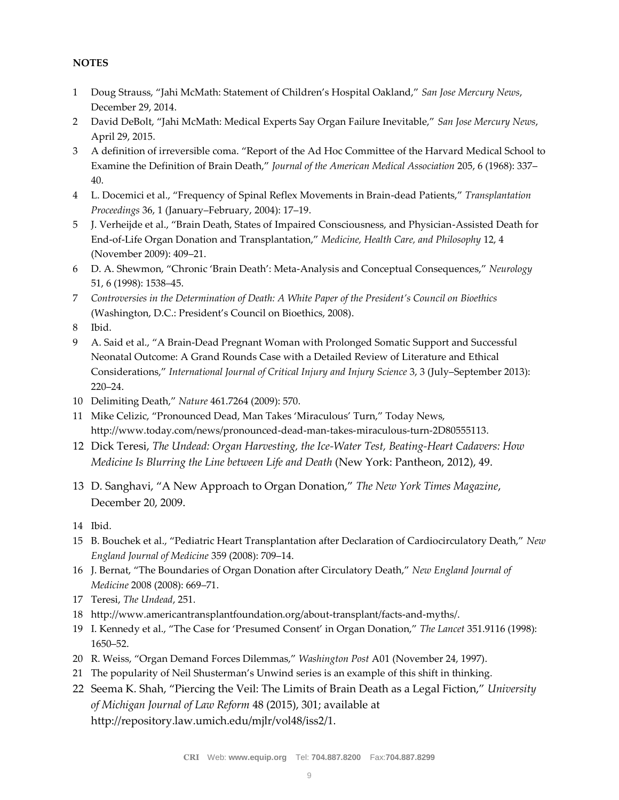#### **NOTES**

- 1 Doug Strauss, "Jahi McMath: Statement of Children's Hospital Oakland," *San Jose Mercury News*, December 29, 2014.
- 2 David DeBolt, "Jahi McMath: Medical Experts Say Organ Failure Inevitable," *San Jose Mercury News*, April 29, 2015.
- 3 A definition of irreversible coma. "Report of the Ad Hoc Committee of the Harvard Medical School to Examine the Definition of Brain Death," *Journal of the American Medical Association* 205, 6 (1968): 337– 40.
- 4 L. Docemici et al., "Frequency of Spinal Reflex Movements in Brain-dead Patients," *Transplantation Proceedings* 36, 1 (January–February, 2004): 17–19.
- 5 J. Verheijde et al., "Brain Death, States of Impaired Consciousness, and Physician-Assisted Death for End-of-Life Organ Donation and Transplantation," *Medicine, Health Care, and Philosophy* 12, 4 (November 2009): 409–21.
- 6 D. A. Shewmon, "Chronic 'Brain Death': Meta-Analysis and Conceptual Consequences," *Neurology* 51, 6 (1998): 1538–45.
- 7 *Controversies in the Determination of Death: A White Paper of the President's Council on Bioethics* (Washington, D.C.: President's Council on Bioethics, 2008).
- 8 Ibid.
- 9 A. Said et al., "A Brain-Dead Pregnant Woman with Prolonged Somatic Support and Successful Neonatal Outcome: A Grand Rounds Case with a Detailed Review of Literature and Ethical Considerations," *International Journal of Critical Injury and Injury Science* 3, 3 (July–September 2013): 220–24.
- 10 Delimiting Death," *Nature* 461.7264 (2009): 570.
- 11 Mike Celizic, "Pronounced Dead, Man Takes 'Miraculous' Turn," Today News, http://www.today.com/news/pronounced-dead-man-takes-miraculous-turn-2D80555113.
- 12 Dick Teresi, *The Undead: Organ Harvesting, the Ice-Water Test, Beating-Heart Cadavers: How Medicine Is Blurring the Line between Life and Death* (New York: Pantheon, 2012), 49.
- 13 D. Sanghavi, "A New Approach to Organ Donation," *The New York Times Magazine*, December 20, 2009.
- 14 Ibid.
- 15 B. Bouchek et al., "Pediatric Heart Transplantation after Declaration of Cardiocirculatory Death," *New England Journal of Medicine* 359 (2008): 709–14.
- 16 J. Bernat, "The Boundaries of Organ Donation after Circulatory Death," *New England Journal of Medicine* 2008 (2008): 669–71.
- 17 Teresi, *The Undead*, 251.
- 18 http://www.americantransplantfoundation.org/about-transplant/facts-and-myths/.
- 19 I. Kennedy et al., "The Case for 'Presumed Consent' in Organ Donation," *The Lancet* 351.9116 (1998): 1650–52.
- 20 R. Weiss, "Organ Demand Forces Dilemmas," *Washington Post* A01 (November 24, 1997).
- 21 The popularity of Neil Shusterman's Unwind series is an example of this shift in thinking.
- 22 Seema K. Shah, "Piercing the Veil: The Limits of Brain Death as a Legal Fiction," *University of Michigan Journal of Law Reform* 48 (2015), 301; available at http://repository.law.umich.edu/mjlr/vol48/iss2/1.